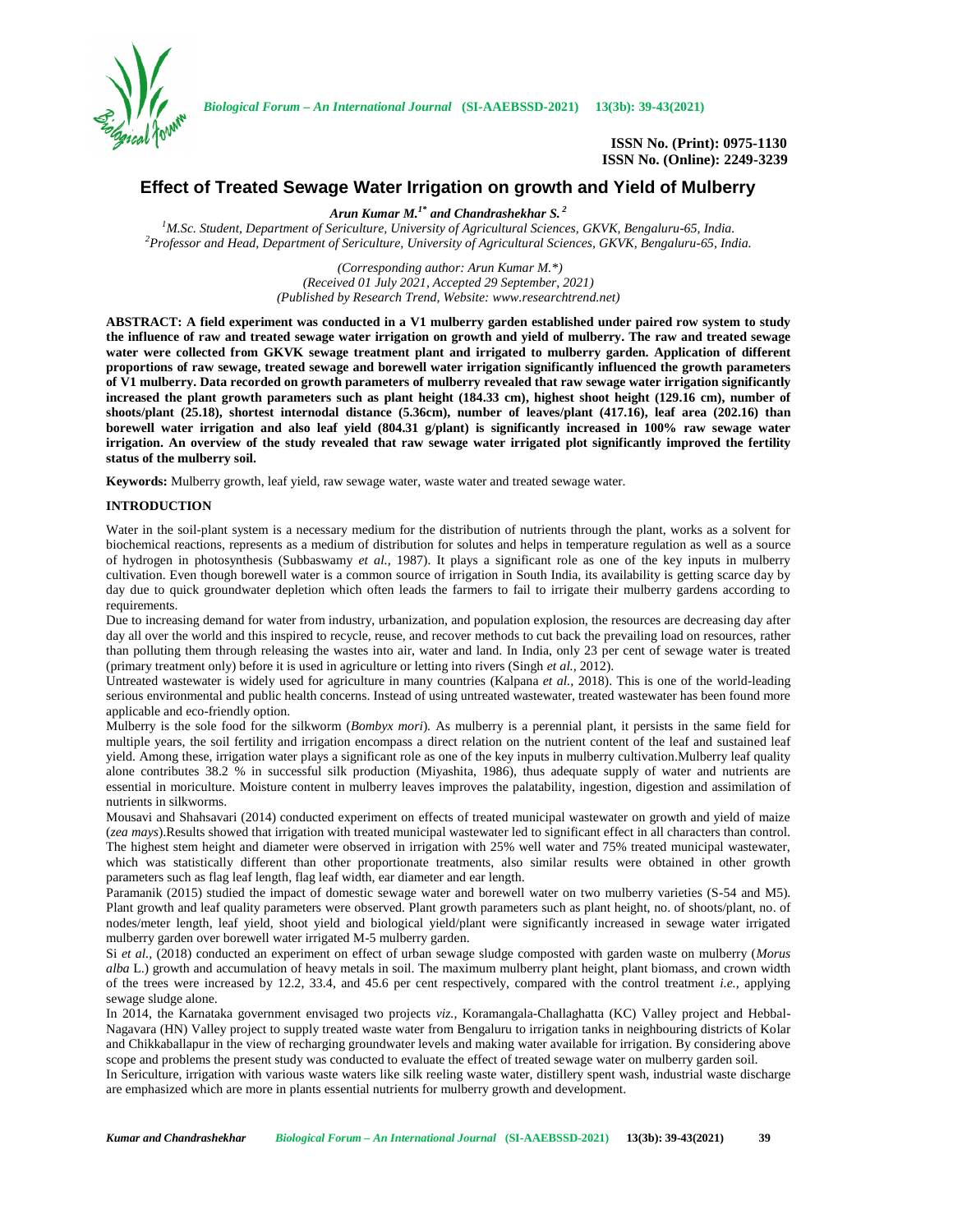

*Biological Forum – An International Journal* **(SI-AAEBSSD-2021) 13(3b): 39-43(2021)**

**ISSN No. (Print): 0975-1130 ISSN No. (Online): 2249-3239**

# **Effect of Treated Sewage Water Irrigation on growth and Yield of Mulberry**

*Arun Kumar M.1\* and Chandrashekhar S. <sup>2</sup>*

<sup>1</sup>M.Sc. Student, Department of Sericulture, University of Agricultural Sciences, GKVK, Bengaluru-65, India.<br>Professor and Head, Department of Sericulture, University of Agricultural Sciences, GKVK, Bengaluru-65, India.

*(Corresponding author: Arun Kumar M.\*) (Received 01 July 2021, Accepted 29 September, 2021) (Published by Research Trend, Website: [www.researchtrend.net\)](www.researchtrend.net)*

**ABSTRACT: A field experiment was conducted in a V1 mulberry garden established under paired row system to study the influence of raw and treated sewage water irrigation on growth and yield of mulberry. The raw and treated sewage water were collected from GKVK sewage treatment plant and irrigated to mulberry garden. Application of different proportions of raw sewage, treated sewage and borewell water irrigation significantly influenced the growth parameters of V1 mulberry. Data recorded on growth parameters of mulberry revealed that raw sewage water irrigation significantly increased the plant growth parameters such as plant height (184.33 cm), highest shoot height (129.16 cm), number of shoots/plant (25.18), shortest internodal distance (5.36cm), number of leaves/plant (417.16), leaf area (202.16) than borewell water irrigation and also leaf yield (804.31 g/plant) is significantly increased in 100% raw sewage water irrigation. An overview of the study revealed that raw sewage water irrigated plot significantly improved the fertility status of the mulberry soil.**

**Keywords:** Mulberry growth, leaf yield, raw sewage water, waste water and treated sewage water.

## **INTRODUCTION**

Water in the soil-plant system is a necessary medium for the distribution of nutrients through the plant, works as a solvent for biochemical reactions, represents as a medium of distribution for solutes and helps in temperature regulation as well as a source of hydrogen in photosynthesis (Subbaswamy *et al.,* 1987). It plays a significant role as one of the key inputs in mulberry cultivation. Even though borewell water is a common source of irrigation in South India, its availability is getting scarce day by day due to quick groundwater depletion which often leads the farmers to fail to irrigate their mulberry gardens according to requirements.

Due to increasing demand for water from industry, urbanization, and population explosion, the resources are decreasing day after day all over the world and this inspired to recycle, reuse, and recover methods to cut back the prevailing load on resources, rather than polluting them through releasing the wastes into air, water and land. In India, only 23 per cent of sewage water is treated (primary treatment only) before it is used in agriculture or letting into rivers (Singh *et al.,* 2012).

Untreated wastewater is widely used for agriculture in many countries (Kalpana *et al.,* 2018). This is one of the world-leading serious environmental and public health concerns. Instead of using untreated wastewater, treated wastewater has been found more applicable and eco-friendly option.

Mulberry is the sole food for the silkworm (*Bombyx mori*)*.* As mulberry is a perennial plant, it persists in the same field for multiple years, the soil fertility and irrigation encompass a direct relation on the nutrient content of the leaf and sustained leaf yield. Among these, irrigation water plays a significant role as one of the key inputs in mulberry cultivation.Mulberry leaf quality alone contributes 38.2 % in successful silk production (Miyashita, 1986), thus adequate supply of water and nutrients are essential in moriculture. Moisture content in mulberry leaves improves the palatability, ingestion, digestion and assimilation of nutrients in silkworms.

Mousavi and Shahsavari (2014) conducted experiment on effects of treated municipal wastewater on growth and yield of maize (*zea mays*).Results showed that irrigation with treated municipal wastewater led to significant effect in all characters than control. The highest stem height and diameter were observed in irrigation with 25% well water and 75% treated municipal wastewater, which was statistically different than other proportionate treatments, also similar results were obtained in other growth parameters such as flag leaf length, flag leaf width, ear diameter and ear length.

Paramanik (2015) studied the impact of domestic sewage water and borewell water on two mulberry varieties (S-54 and M5). Plant growth and leaf quality parameters were observed. Plant growth parameters such as plant height, no. of shoots/plant, no. of nodes/meter length, leaf yield, shoot yield and biological yield/plant were significantly increased in sewage water irrigated mulberry garden over borewell water irrigated M-5 mulberry garden.

Si *et al.,* (2018) conducted an experiment on effect of urban sewage sludge composted with garden waste on mulberry (*Morus alba* L.) growth and accumulation of heavy metals in soil. The maximum mulberry plant height, plant biomass, and crown width of the trees were increased by 12.2, 33.4, and 45.6 per cent respectively, compared with the control treatment *i.e.,* applying sewage sludge alone.

In 2014, the Karnataka government envisaged two projects *viz.,* Koramangala-Challaghatta (KC) Valley project and Hebbal- Nagavara (HN) Valley project to supply treated waste water from Bengaluru to irrigation tanks in neighbouring districts of Kolar and Chikkaballapur in the view of recharging groundwater levels and making water available for irrigation. By considering above scope and problems the present study was conducted to evaluate the effect of treated sewage water on mulberry garden soil.

In Sericulture, irrigation with various waste waters like silk reeling waste water, distillery spent wash, industrial waste discharge are emphasized which are more in plants essential nutrients for mulberry growth and development.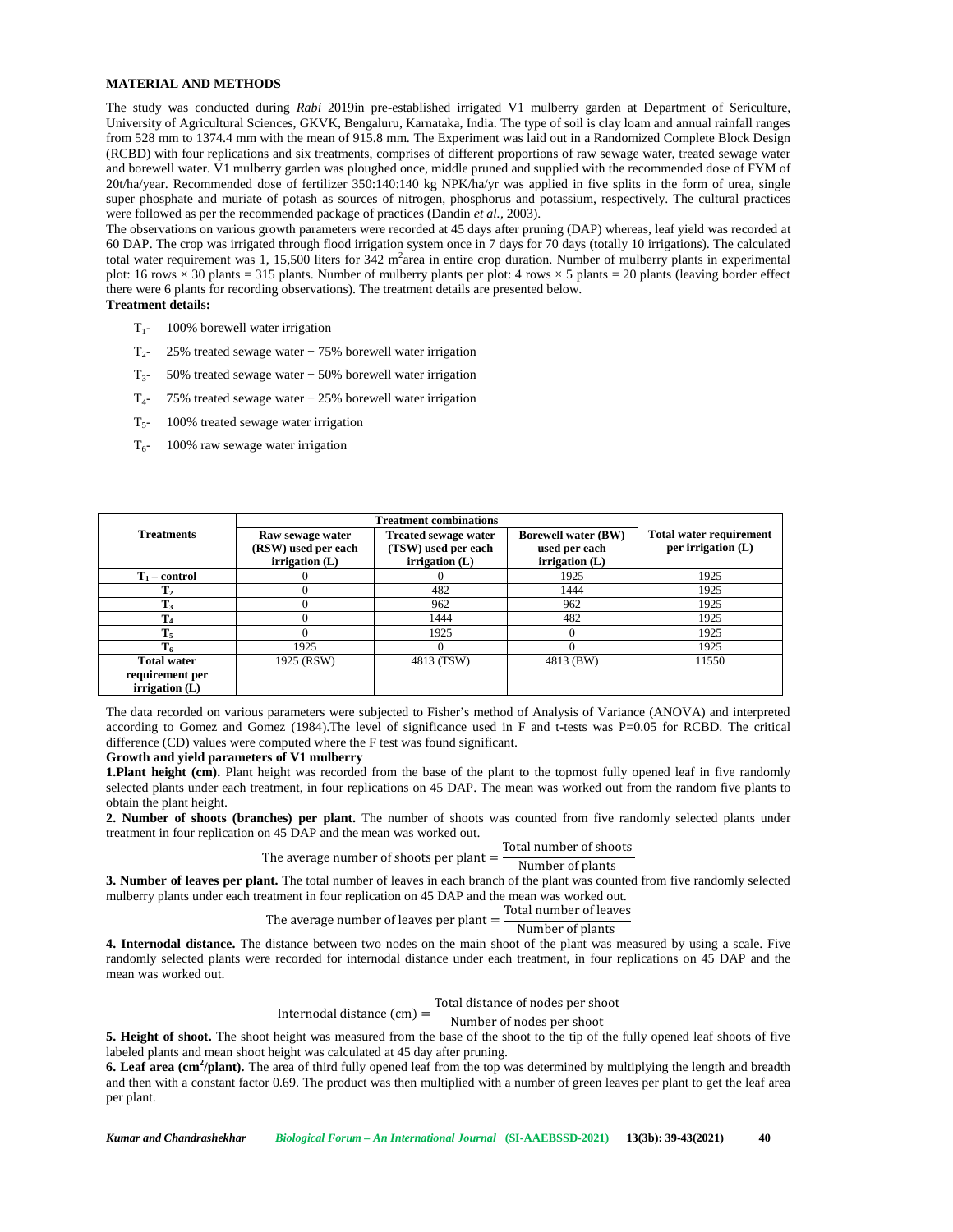## **MATERIAL AND METHODS**

The study was conducted during *Rabi* 2019in pre-established irrigated V1 mulberry garden at Department of Sericulture, University of Agricultural Sciences, GKVK, Bengaluru, Karnataka, India. The type of soil is clay loam and annual rainfall ranges from 528 mm to 1374.4 mm with the mean of 915.8 mm. The Experiment was laid out in a Randomized Complete Block Design (RCBD) with four replications and six treatments, comprises of different proportions of raw sewage water, treated sewage water and borewell water. V1 mulberry garden was ploughed once, middle pruned and supplied with the recommended dose of FYM of 20t/ha/year. Recommended dose of fertilizer 350:140:140 kg NPK/ha/yr was applied in five splits in the form of urea, single super phosphate and muriate of potash as sources of nitrogen, phosphorus and potassium, respectively. The cultural practices were followed as per the recommended package of practices (Dandin *et al.,* 2003).

The observations on various growth parameters were recorded at 45 days after pruning (DAP) whereas, leaf yield was recorded at 60 DAP. The crop was irrigated through flood irrigation system once in 7 days for 70 days (totally 10 irrigations). The calculated total water requirement was 1, 15,500 liters for  $342$  m<sup>2</sup>area in entire crop duration. Number of mulberry plants in experimental plot: 16 rows  $\times$  30 plants = 315 plants. Number of mulberry plants per plot: 4 rows  $\times$  5 plants = 20 plants (leaving border effect there were 6 plants for recording observations). The treatment details are presented below. **Treatment details:**

- $T_1$  100% borewell water irrigation
- $T_2$  25% treated sewage water + 75% borewell water irrigation
- $T_{3}$  50% treated sewage water + 50% borewell water irrigation
- $T_{4}$  75% treated sewage water + 25% borewell water irrigation
- $T<sub>5</sub>$  100% treated sewage water irrigation
- $T_{6}$  100% raw sewage water irrigation

|                                     | <b>Treatment combinations</b>                                  |                                                                        |                                                                 |                                                        |
|-------------------------------------|----------------------------------------------------------------|------------------------------------------------------------------------|-----------------------------------------------------------------|--------------------------------------------------------|
| <b>Treatments</b>                   | Raw sewage water<br>(RSW) used per each<br>$irri$ gation $(L)$ | <b>Treated sewage water</b><br>(TSW) used per each<br>irrigation $(L)$ | <b>Borewell water (BW)</b><br>used per each<br>irrigation $(L)$ | <b>Total water requirement</b><br>per irrigation $(L)$ |
| $T_1$ – control                     |                                                                |                                                                        | 1925                                                            | 1925                                                   |
| $\mathbf{I}_2$                      |                                                                | 482                                                                    | 1444                                                            | 1925                                                   |
| T,                                  |                                                                | 962                                                                    | 962                                                             | 1925                                                   |
| $T_4$                               |                                                                | 1444                                                                   | 482                                                             | 1925                                                   |
| $T_5$                               |                                                                | 1925                                                                   |                                                                 | 1925                                                   |
|                                     | 1925                                                           |                                                                        |                                                                 | 1925                                                   |
| <b>Total water</b>                  | 1925 (RSW)                                                     | 4813 (TSW)                                                             | 4813 (BW)                                                       | 11550                                                  |
| requirement per<br>irrigation $(L)$ |                                                                |                                                                        |                                                                 |                                                        |

The data recorded on various parameters were subjected to Fisher's method of Analysis of Variance (ANOVA) and interpreted according to Gomez and Gomez (1984).The level of significance used in F and t-tests was P=0.05 for RCBD. The critical difference (CD) values were computed where the F test was found significant.

#### **Growth and yield parameters of V1 mulberry**

**1.Plant height (cm).** Plant height was recorded from the base of the plant to the topmost fully opened leaf in five randomly selected plants under each treatment, in four replications on 45 DAP. The mean was worked out from the random five plants to obtain the plant height.

**2. Number of shoots (branches) per plant.** The number of shoots was counted from five randomly selected plants under treatment in four replication on 45 DAP and the mean was worked out.

The average number of shoots per plant = 
$$
\frac{\text{Total number of shoots}}{\text{Number of plants}}
$$

**3. Number of leaves per plant.** The total number of leaves in each branch of the plant was counted from five randomly selected mulberry plants under each treatment in four replication on 45 DAP and the mean was worked out.

The average number of leaves per plant = 
$$
\frac{\text{Total number of leaves}}{\text{Number of clusters}}
$$

Number of plants

**4. Internodal distance.** The distance between two nodes on the main shoot of the plant was measured by using a scale. Five randomly selected plants were recorded for internodal distance under each treatment, in four replications on 45 DAP and the mean was worked out.

Internodal distance  $\text{(cm)} = \frac{\text{Total distance of nodes per shoot}}{\text{Number of nodes per shot}}$ 

Number of nodes per shoot

**5. Height of shoot.** The shoot height was measured from the base of the shoot to the tip of the fully opened leaf shoots of five labeled plants and mean shoot height was calculated at 45 day after pruning.

**6. Leaf area (cm<sup>2</sup>/plant).** The area of third fully opened leaf from the top was determined by multiplying the length and breadth and then with a constant factor 0.69. The product was then multiplied with a number of green leaves per plant to get the leaf area per plant.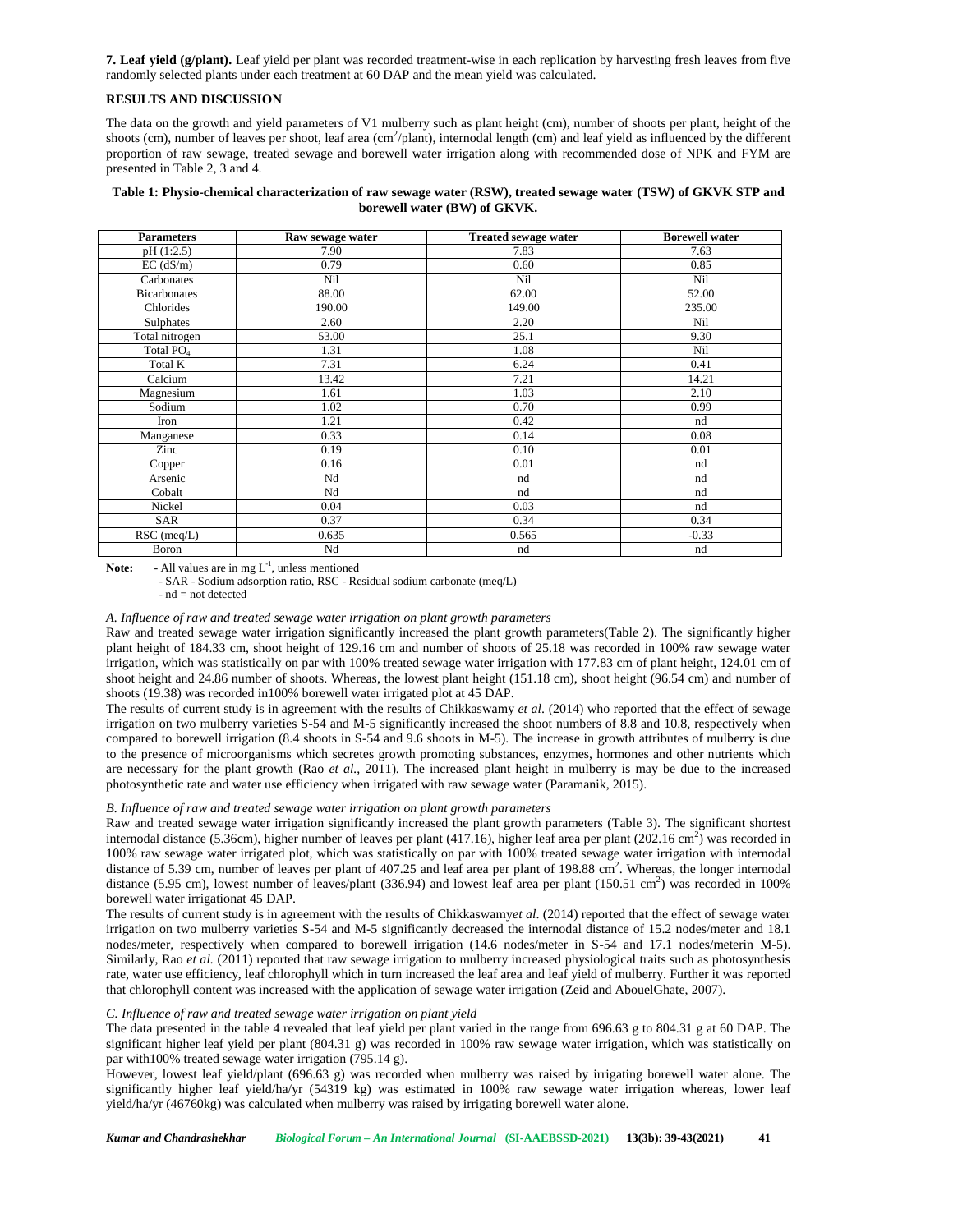**7. Leaf yield (g/plant).** Leaf yield per plant was recorded treatment-wise in each replication by harvesting fresh leaves from five randomly selected plants under each treatment at 60 DAP and the mean yield was calculated.

## **RESULTS AND DISCUSSION**

The data on the growth and yield parameters of V1 mulberry such as plant height (cm), number of shoots per plant, height of the shoots (cm), number of leaves per shoot, leaf area (cm<sup>2</sup>/plant), internodal length (cm) and leaf yield as influenced by the different proportion of raw sewage, treated sewage and borewell water irrigation along with recommended dose of NPK and FYM are presented in Table 2, 3 and 4.

## **Table 1: Physio-chemical characterization of raw sewage water (RSW), treated sewage water (TSW) of GKVK STP and borewell water (BW) of GKVK.**

| <b>Parameters</b>     | Raw sewage water | <b>Treated sewage water</b> | <b>Borewell water</b> |
|-----------------------|------------------|-----------------------------|-----------------------|
| pH(1:2.5)             | 7.90             | 7.83                        | 7.63                  |
| $EC$ (dS/m)           | 0.79             | 0.60                        | 0.85                  |
| Carbonates            | Nil              | Nil                         | Nil                   |
| <b>Bicarbonates</b>   | 88.00            | 62.00                       | 52.00                 |
| Chlorides             | 190.00           | 149.00                      | 235.00                |
| Sulphates             | 2.60             | 2.20                        | Nil                   |
| Total nitrogen        | 53.00            | 25.1                        | 9.30                  |
| Total PO <sub>4</sub> | 1.31             | 1.08                        | Nil                   |
| Total K               | 7.31             | 6.24                        | 0.41                  |
| Calcium               | 13.42            | 7.21                        | 14.21                 |
| Magnesium             | 1.61             | 1.03                        | 2.10                  |
| Sodium                | 1.02             | 0.70                        | 0.99                  |
| Iron                  | 1.21             | 0.42                        | nd                    |
| Manganese             | 0.33             | 0.14                        | 0.08                  |
| Zinc                  | 0.19             | 0.10                        | 0.01                  |
| Copper                | 0.16             | 0.01                        | nd                    |
| Arsenic               | Nd               | nd                          | nd                    |
| Cobalt                | Nd               | nd                          | nd                    |
| Nickel                | 0.04             | 0.03                        | nd                    |
| <b>SAR</b>            | 0.37             | 0.34                        | 0.34                  |
| $RSC$ (meq/L)         | 0.635            | 0.565                       | $-0.33$               |
| Boron                 | Nd               | nd                          | nd                    |

**Note:**  $\blacksquare$  - All values are in mg  $L^{-1}$ , unless mentioned

- SAR - Sodium adsorption ratio, RSC - Residual sodium carbonate (meq/L) - nd = not detected

#### *A. Influence of raw and treated sewage water irrigation on plant growth parameters*

Raw and treated sewage water irrigation significantly increased the plant growth parameters(Table 2). The significantly higher plant height of 184.33 cm, shoot height of 129.16 cm and number of shoots of 25.18 was recorded in 100% raw sewage water irrigation, which was statistically on par with 100% treated sewage water irrigation with 177.83 cm of plant height, 124.01 cm of shoot height and 24.86 number of shoots. Whereas, the lowest plant height (151.18 cm), shoot height (96.54 cm) and number of shoots (19.38) was recorded in100% borewell water irrigated plot at 45 DAP.

The results of current study is in agreement with the results of Chikkaswamy *et al*. (2014) who reported that the effect of sewage irrigation on two mulberry varieties S-54 and M-5 significantly increased the shoot numbers of 8.8 and 10.8, respectively when compared to borewell irrigation (8.4 shoots in S-54 and 9.6 shoots in M-5). The increase in growth attributes of mulberry is due to the presence of microorganisms which secretes growth promoting substances, enzymes, hormones and other nutrients which are necessary for the plant growth (Rao *et al.*, 2011). The increased plant height in mulberry is may be due to the increased photosynthetic rate and water use efficiency when irrigated with raw sewage water (Paramanik, 2015).

#### *B. Influence of raw and treated sewage water irrigation on plant growth parameters*

Raw and treated sewage water irrigation significantly increased the plant growth parameters (Table 3). The significant shortest internodal distance (5.36cm), higher number of leaves per plant (417.16), higher leaf area per plant (202.16 cm<sup>2</sup>) was recorded in 100% raw sewage water irrigated plot, which was statistically on par with 100% treated sewage water irrigation with internodal distance of 5.39 cm, number of leaves per plant of 407.25 and leaf area per plant of 198.88 cm<sup>2</sup>. Whereas, the longer internodal distance  $(5.95 \text{ cm})$ , lowest number of leaves/plant  $(336.94)$  and lowest leaf area per plant  $(150.51 \text{ cm}^2)$  was recorded in 100% borewell water irrigationat 45 DAP.

The results of current study is in agreement with the results of Chikkaswamy*et al*. (2014) reported that the effect of sewage water irrigation on two mulberry varieties S-54 and M-5 significantly decreased the internodal distance of 15.2 nodes/meter and 18.1 nodes/meter, respectively when compared to borewell irrigation (14.6 nodes/meter in S-54 and 17.1 nodes/meterin M-5). Similarly, Rao *et al.* (2011) reported that raw sewage irrigation to mulberry increased physiological traits such as photosynthesis rate, water use efficiency, leaf chlorophyll which in turn increased the leaf area and leaf yield of mulberry. Further it was reported that chlorophyll content was increased with the application of sewage water irrigation (Zeid and AbouelGhate, 2007).

## *C. Influence of raw and treated sewage water irrigation on plant yield*

The data presented in the table 4 revealed that leaf yield per plant varied in the range from 696.63 g to 804.31 g at 60 DAP. The significant higher leaf yield per plant (804.31 g) was recorded in 100% raw sewage water irrigation, which was statistically on par with100% treated sewage water irrigation (795.14 g).

However, lowest leaf yield/plant (696.63 g) was recorded when mulberry was raised by irrigating borewell water alone. The significantly higher leaf yield/ha/yr (54319 kg) was estimated in 100% raw sewage water irrigation whereas, lower leaf yield/ha/yr (46760kg) was calculated when mulberry was raised by irrigating borewell water alone.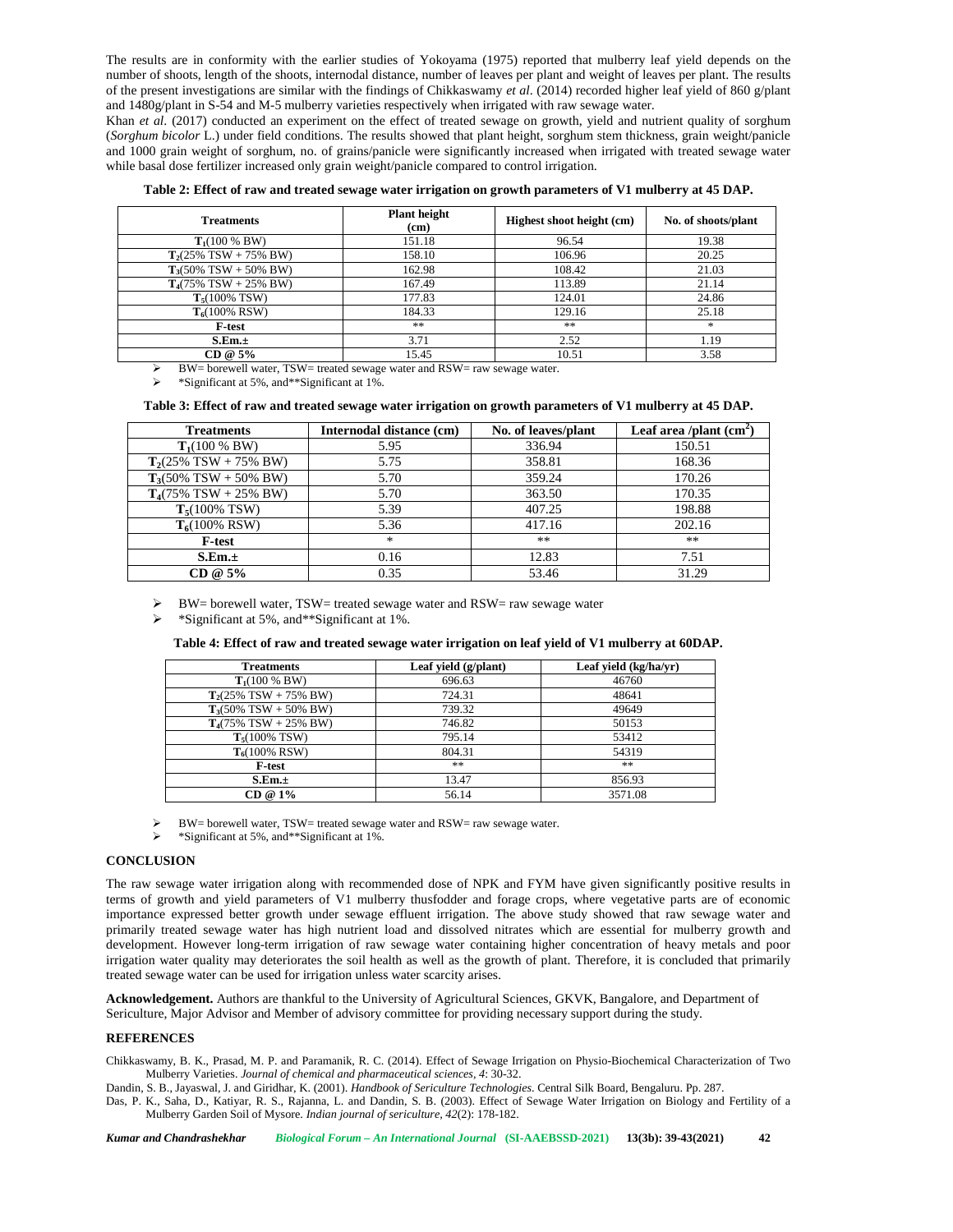The results are in conformity with the earlier studies of Yokoyama (1975) reported that mulberry leaf yield depends on the number of shoots, length of the shoots, internodal distance, number of leaves per plant and weight of leaves per plant. The results of the present investigations are similar with the findings of Chikkaswamy *et al*. (2014) recorded higher leaf yield of 860 g/plant and 1480g/plant in S-54 and M-5 mulberry varieties respectively when irrigated with raw sewage water.

Khan *et al*. (2017) conducted an experiment on the effect of treated sewage on growth, yield and nutrient quality of sorghum (*Sorghum bicolor* L.) under field conditions. The results showed that plant height, sorghum stem thickness, grain weight/panicle and 1000 grain weight of sorghum, no. of grains/panicle were significantly increased when irrigated with treated sewage water while basal dose fertilizer increased only grain weight/panicle compared to control irrigation.

| Table 2: Effect of raw and treated sewage water irrigation on growth parameters of V1 mulberry at 45 DAP. |  |  |
|-----------------------------------------------------------------------------------------------------------|--|--|
|                                                                                                           |  |  |

| <b>Treatments</b>                         | <b>Plant</b> height<br>(cm) | Highest shoot height (cm) | No. of shoots/plant |
|-------------------------------------------|-----------------------------|---------------------------|---------------------|
| $T_1(100\% \, BW)$                        | 151.18                      | 96.54                     | 19.38               |
| $T_2(25\%$ TSW + 75% BW)                  | 158.10                      | 106.96                    | 20.25               |
| $T_3(50\% \text{ TSW} + 50\% \text{ BW})$ | 162.98                      | 108.42                    | 21.03               |
| $T_4(75\%$ TSW + 25% BW)                  | 167.49                      | 113.89                    | 21.14               |
| $T_5(100\%$ TSW)                          | 177.83                      | 124.01                    | 24.86               |
| $T_6(100\% RSW)$                          | 184.33                      | 129.16                    | 25.18               |
| <b>F-test</b>                             | **                          | **                        | *                   |
| S.Em.±                                    | 3.71                        | 2.52                      | 1.19                |
| $CD @ 5\%$                                | 15.45                       | 10.51                     | 3.58                |

BW= borewell water, TSW= treated sewage water and RSW= raw sewage water.

\*Significant at 5%, and\*\*Significant at 1%.

## **Table 3: Effect of raw and treated sewage water irrigation on growth parameters of V1 mulberry at 45 DAP.**

| <b>Treatments</b>        | Internodal distance (cm) | No. of leaves/plant | Leaf area /plant $(cm2)$ |
|--------------------------|--------------------------|---------------------|--------------------------|
| $T_1(100\% \, BW)$       | 5.95                     | 336.94              | 150.51                   |
| $T2(25\% TSW + 75\% BW)$ | 5.75                     | 358.81              | 168.36                   |
| $T_3(50\%$ TSW + 50% BW) | 5.70                     | 359.24              | 170.26                   |
| $T4(75\% TSW + 25\% BW)$ | 5.70                     | 363.50              | 170.35                   |
| $T5(100\%$ TSW)          | 5.39                     | 407.25              | 198.88                   |
| $T_6(100\% \text{ RSW})$ | 5.36                     | 417.16              | 202.16                   |
| <b>F-test</b>            | $*$                      | $***$               | $***$                    |
| S.Em.±                   | 0.16                     | 12.83               | 7.51                     |
| $CD @ 5\%$               | 0.35                     | 53.46               | 31.29                    |

BW= borewell water, TSW= treated sewage water and RSW= raw sewage water

\*Significant at 5%, and\*\*Significant at 1%.

## **Table 4: Effect of raw and treated sewage water irrigation on leaf yield of V1 mulberry at 60DAP.**

| <b>Treatments</b>        | Leaf yield $(g/\text{plant})$ | Leaf yield (kg/ha/yr) |
|--------------------------|-------------------------------|-----------------------|
| $T_1(100\% \, BW)$       | 696.63                        | 46760                 |
| $T2(25\% TSW + 75\% BW)$ | 724.31                        | 48641                 |
| $T_3(50\%$ TSW + 50% BW) | 739.32                        | 49649                 |
| $T_4(75\%$ TSW + 25% BW) | 746.82                        | 50153                 |
| $T5(100\%$ TSW)          | 795.14                        | 53412                 |
| $T_6(100\% \text{ RSW})$ | 804.31                        | 54319                 |
| <b>F-test</b>            | **                            | **                    |
| S.Em.±                   | 13.47                         | 856.93                |
| $CD @ 1\%$               | 56.14                         | 3571.08               |

BW= borewell water, TSW= treated sewage water and RSW= raw sewage water.

\*Significant at 5%, and\*\*Significant at 1%.

## **CONCLUSION**

The raw sewage water irrigation along with recommended dose of NPK and FYM have given significantly positive results in terms of growth and yield parameters of V1 mulberry thusfodder and forage crops, where vegetative parts are of economic importance expressed better growth under sewage effluent irrigation. The above study showed that raw sewage water and primarily treated sewage water has high nutrient load and dissolved nitrates which are essential for mulberry growth and development. However long-term irrigation of raw sewage water containing higher concentration of heavy metals and poor irrigation water quality may deteriorates the soil health as well as the growth of plant. Therefore, it is concluded that primarily treated sewage water can be used for irrigation unless water scarcity arises.

**Acknowledgement.** Authors are thankful to the University of Agricultural Sciences, GKVK, Bangalore, and Department of Sericulture, Major Advisor and Member of advisory committee for providing necessary support during the study.

## **REFERENCES**

Chikkaswamy, B. K., Prasad, M. P. and Paramanik, R. C. (2014). Effect of Sewage Irrigation on Physio-Biochemical Characterization of Two Mulberry Varieties. *Journal of chemical and pharmaceutical sciences, 4*: 30-32.

Dandin, S. B., Jayaswal, J. and Giridhar, K. (2001). *Handbook of Sericulture Technologies*. Central Silk Board, Bengaluru. Pp. 287.

Das, P. K., Saha, D., Katiyar, R. S., Rajanna, L. and Dandin, S. B. (2003). Effect of Sewage Water Irrigation on Biology and Fertility of a Mulberry Garden Soil of Mysore. *Indian journal of sericulture, 42*(2): 178-182.